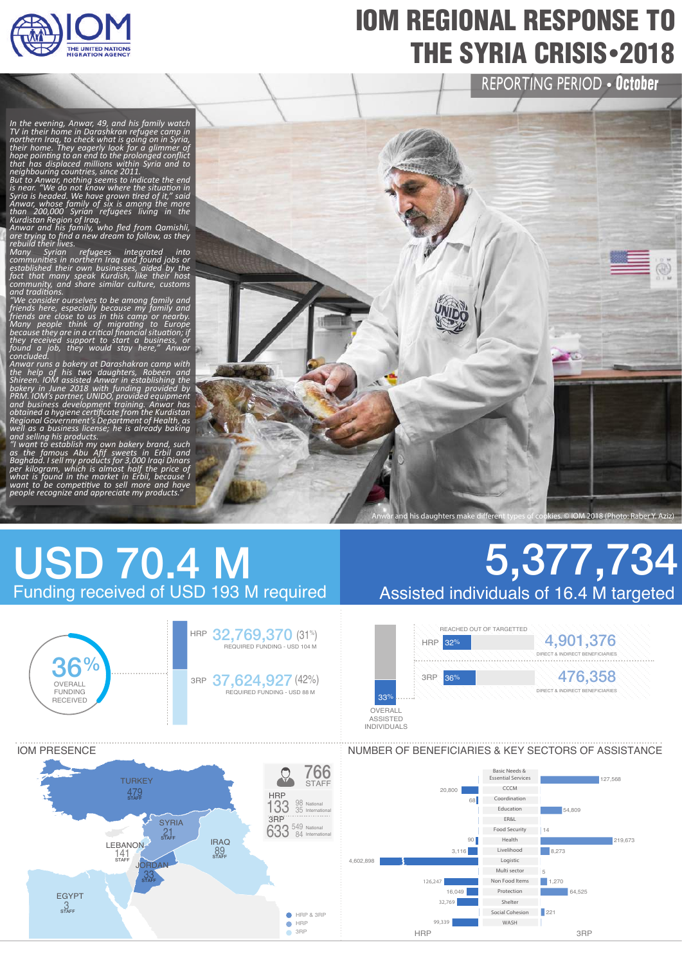

## IOM REGIONAL RESPONSE TO **THE SYRIA CRISIS** - 2018

REPORTING PERIOD · October

In the evening, Anwar, 49, and his family watch<br>TV in their home in Darashkran refugee camp in<br>northern Iraq, to check what is going on in Syria,<br>their home. They eagerly look for a glimmer of<br>hope pointing to an end to th

*because they are in a critical financial situation; if they received support to start a business, or found a job, they would stay here," Anwar concluded.*

Anwar runs a bakery at Darashakran camp with<br>the help of his two daughters, Robeen and<br>Shireen. IOM assisted Anwar in establishing the<br>bakery in June 2018 with funding provided by<br>PRM. IOM's partner, UNIDO, provided equipm

IOM PRESENCE



#### USD 70.4 M Funding received of USD 193 M required



# 5,377,734 Assisted individuals of 16.4 M targeted



#### NUMBER OF BENEFICIARIES & KEY SECTORS OF ASSISTANCE

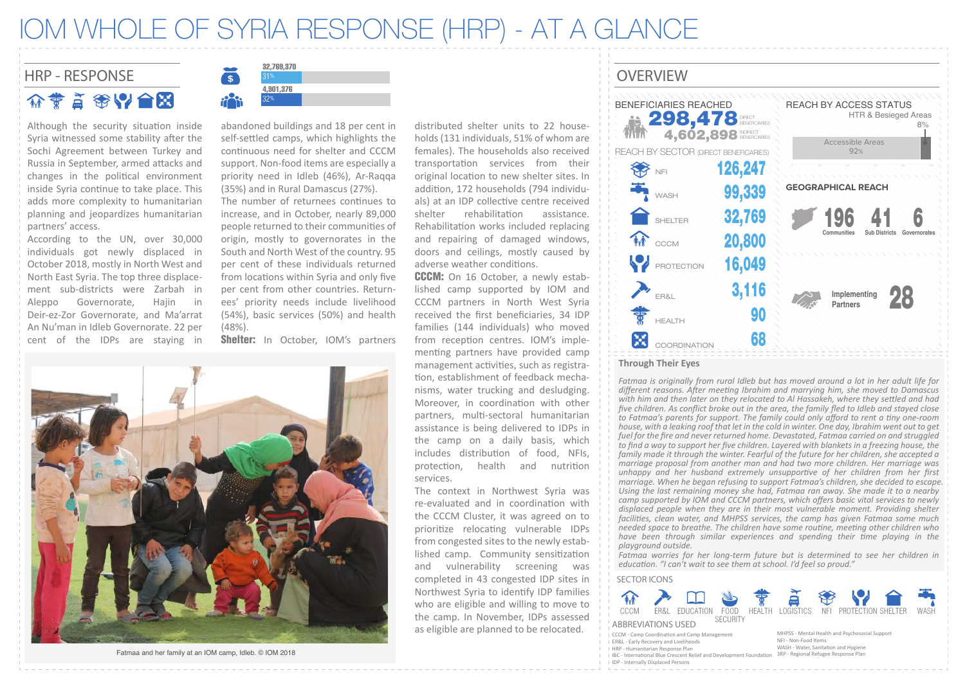#### IOM WHOLE OF SYRIA RESPONSE (HRP) - AT A GLANCE

#### HRP - RESPONSE SERVICE OVERVIEW 介黄首金以合因

Although the security situation inside Syria witnessed some stability after the Sochi Agreement between Turkey and Russia in September, armed attacks and changes in the political environment inside Syria continue to take place. This adds more complexity to humanitarian planning and jeopardizes humanitarian partners' access.

According to the UN, over 30,000 individuals got newly displaced in October 2018, mostly in North West and North East Syria. The top three displacement sub-districts were Zarbah in Aleppo Governorate, Hajin in Deir-ez-Zor Governorate, and Ma'arrat An Nu'man in Idleb Governorate. 22 per cent of the IDPs are staying in



abandoned buildings and 18 per cent in self-settled camps, which highlights the continuous need for shelter and CCCM support. Non-food items are especially a priority need in Idleb (46%), Ar-Raqqa (35%) and in Rural Damascus (27%).

The number of returnees continues to increase, and in October, nearly 89,000 people returned to their communities of origin, mostly to governorates in the South and North West of the country. 95 per cent of these individuals returned from locations within Syria and only five per cent from other countries. Returnees' priority needs include livelihood (54%), basic services (50%) and health (48%).

Shelter: In October, IOM's partners



Fatmaa and her family at an IOM camp, Idleb. © IOM 2018

distributed shelter units to 22 households (131 individuals, 51% of whom are females). The households also received transportation services from their original location to new shelter sites. In addi�on, 172 households (794 individuals) at an IDP collective centre received shelter rehabilitation assistance. Rehabilitation works included replacing and repairing of damaged windows, doors and ceilings, mostly caused by adverse weather conditions.

**CCCM:** On 16 October, a newly established camp supported by IOM and CCCM partners in North West Syria received the first beneficiaries, 34 IDP families (144 individuals) who moved from reception centres. IOM's implementing partners have provided camp management activities, such as registration, establishment of feedback mechanisms, water trucking and desludging. Moreover, in coordination with other partners, multi-sectoral humanitarian assistance is being delivered to IDPs in the camp on a daily basis, which includes distribution of food. NFIs. protec�on, health and nutri�on services.

The context in Northwest Syria was re-evaluated and in coordination with the CCCM Cluster, it was agreed on to prioritize relocating vulnerable IDPs from congested sites to the newly established camp. Community sensitization and vulnerability screening was completed in 43 congested IDP sites in Northwest Syria to iden�fy IDP families who are eligible and willing to move to the camp. In November, IDPs assessed as eligible are planned to be relocated. MHPSS - Mental Health and Psychosocial Support MHPSS - Mental Health and Psychosocial Support



*Fatmaa is originally from rural Idleb but has moved around a lot in her adult life for different reasons. After meeting Ibrahim and marrying him, she moved to Damascus with him and then later on they relocated to Al Hassakeh, where they settled and had five children. As conflict broke out in the area, the family fled to Idleb and stayed close to Fatmaa's parents for support. The family could only afford to rent a tiny one-room house, with a leaking roof that let in the cold in winter. One day, Ibrahim went out to get fuel for the fire and never returned home. Devastated, Fatmaa carried on and struggled to find a way to support her five children. Layered with blankets in a freezing house, the family made it through the winter. Fearful of the future for her children, she accepted a marriage proposal from another man and had two more children. Her marriage was unhappy and her husband extremely unsupportive of her children from her first marriage. When he began refusing to support Fatmaa's children, she decided to escape. Using the last remaining money she had, Fatmaa ran away. She made it to a nearby camp supported by IOM and CCCM partners, which offers basic vital services to newly displaced people when they are in their most vulnerable moment. Providing shelter facilities, clean water, and MHPSS services, the camp has given Fatmaa some much needed space to breathe. The children have some routine, meeting other children who have been through similar experiences and spending their time playing in the playground outside.* 

*Fatmaa worries for her long-term future but is determined to see her children in education. "I can't wait to see them at school. I'd feel so proud."*

#### SECTOR ICONS



ABBREVIATIONS USED .<br>LCCCM - Camp Coordination and Camp Management

ER&L - Early Recovery and Livelihoods HRP - Humanitarian Response Plan

- NFI Non-Food Items WASH - Water, Sanitation and Hygiene
- IBC International Blue Crescent Relief and Development Foundation 3RP Regional Refugee Response Plan I IDP - Internally Displaced Persons